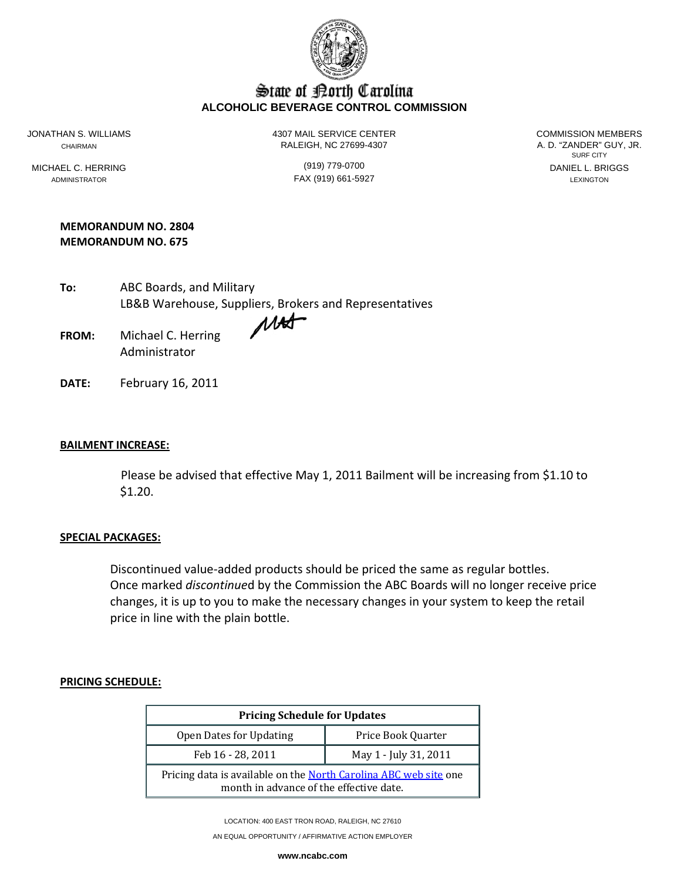

# State of Borth Carolina **ALCOHOLIC BEVERAGE CONTROL COMMISSION**

JONATHAN S. WILLIAMS 4307 MAIL SERVICE CENTER COMMISSION MEMBERS CHAIRMAN RALEIGH, NC 27699-4307

SURF CITY MICHAEL C. HERRING (919) 779-0700 DANIEL L. BRIGGS

ADMINISTRATOR LEXINGTON **FAX (919) 661-5927 Existence Lexington** 

### **MEMORANDUM NO. 2804 MEMORANDUM NO. 675**

| To: | ABC Boards, and Military                               |
|-----|--------------------------------------------------------|
|     | LB&B Warehouse, Suppliers, Brokers and Representatives |
|     |                                                        |

**FROM:** Michael C. Herring Administrator

**DATE:** February 16, 2011

## **BAILMENT INCREASE:**

 Please be advised that effective May 1, 2011 Bailment will be increasing from \$1.10 to \$1.20.

#### **SPECIAL PACKAGES:**

Discontinued value‐added products should be priced the same as regular bottles. Once marked *discontinue*d by the Commission the ABC Boards will no longer receive price changes, it is up to you to make the necessary changes in your system to keep the retail price in line with the plain bottle.

#### **PRICING SCHEDULE:**

| <b>Pricing Schedule for Updates</b>                                                                         |                       |  |  |  |  |  |
|-------------------------------------------------------------------------------------------------------------|-----------------------|--|--|--|--|--|
| Price Book Quarter<br>Open Dates for Updating                                                               |                       |  |  |  |  |  |
| Feb 16 - 28, 2011                                                                                           | May 1 - July 31, 2011 |  |  |  |  |  |
| Pricing data is available on the North Carolina ABC web site one<br>month in advance of the effective date. |                       |  |  |  |  |  |

LOCATION: 400 EAST TRON ROAD, RALEIGH, NC 27610

AN EQUAL OPPORTUNITY / AFFIRMATIVE ACTION EMPLOYER

**www.ncabc.com**